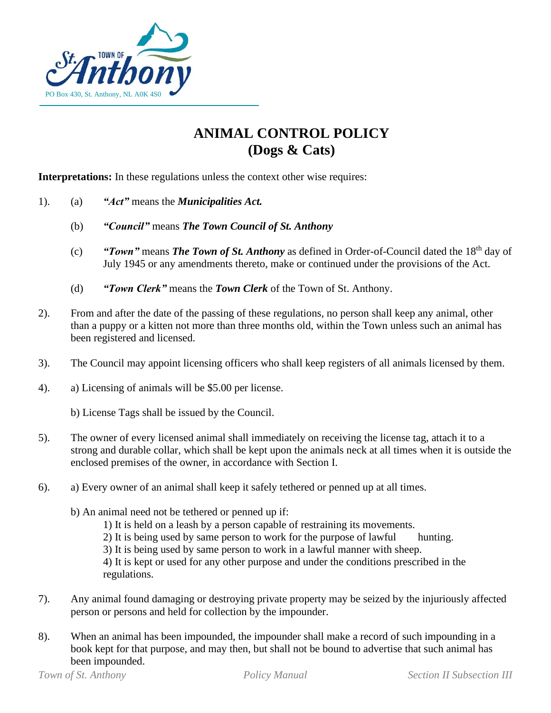

## **ANIMAL CONTROL POLICY (Dogs & Cats)**

**Interpretations:** In these regulations unless the context other wise requires:

- 1). (a) *"Act"* means the *Municipalities Act.*
	- (b) *"Council"* means *The Town Council of St. Anthony*
	- (c) **"Town"** means **The Town of St. Anthony** as defined in Order-of-Council dated the 18<sup>th</sup> day of July 1945 or any amendments thereto, make or continued under the provisions of the Act.
	- (d) *"Town Clerk"* means the *Town Clerk* of the Town of St. Anthony.
- 2). From and after the date of the passing of these regulations, no person shall keep any animal, other than a puppy or a kitten not more than three months old, within the Town unless such an animal has been registered and licensed.
- 3). The Council may appoint licensing officers who shall keep registers of all animals licensed by them.
- 4). a) Licensing of animals will be \$5.00 per license.
	- b) License Tags shall be issued by the Council.
- 5). The owner of every licensed animal shall immediately on receiving the license tag, attach it to a strong and durable collar, which shall be kept upon the animals neck at all times when it is outside the enclosed premises of the owner, in accordance with Section I.
- 6). a) Every owner of an animal shall keep it safely tethered or penned up at all times.
	- b) An animal need not be tethered or penned up if:
		- 1) It is held on a leash by a person capable of restraining its movements.
		- 2) It is being used by same person to work for the purpose of lawful hunting.
		- 3) It is being used by same person to work in a lawful manner with sheep.

4) It is kept or used for any other purpose and under the conditions prescribed in the regulations.

- 7). Any animal found damaging or destroying private property may be seized by the injuriously affected person or persons and held for collection by the impounder.
- 8). When an animal has been impounded, the impounder shall make a record of such impounding in a book kept for that purpose, and may then, but shall not be bound to advertise that such animal has been impounded.